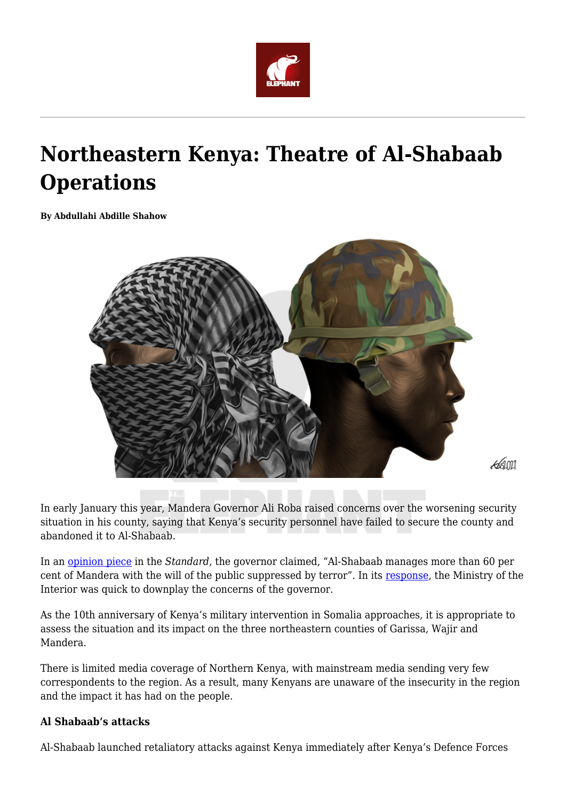

# **Northeastern Kenya: Theatre of Al-Shabaab Operations**

**By Abdullahi Abdille Shahow**



In early January this year, Mandera Governor Ali Roba raised concerns over the worsening security situation in his county, saying that Kenya's security personnel have failed to secure the county and abandoned it to Al-Shabaab.

In an [opinion piece](https://www.standardmedia.co.ke/opinion/article/2001399769/mandera-is-at-risk-of-being-under-shabaab) in the *Standard*, the governor claimed, "Al-Shabaab manages more than 60 per cent of Mandera with the will of the public suppressed by terror". In its [response,](https://www.capitalfm.co.ke/news/2021/01/govt-downplays-insecurity-in-mandera-after-governors-warning/) the Ministry of the Interior was quick to downplay the concerns of the governor.

As the 10th anniversary of Kenya's military intervention in Somalia approaches, it is appropriate to assess the situation and its impact on the three northeastern counties of Garissa, Wajir and Mandera.

There is limited media coverage of Northern Kenya, with mainstream media sending very few correspondents to the region. As a result, many Kenyans are unaware of the insecurity in the region and the impact it has had on the people.

## **Al Shabaab's attacks**

Al-Shabaab launched retaliatory attacks against Kenya immediately after Kenya's Defence Forces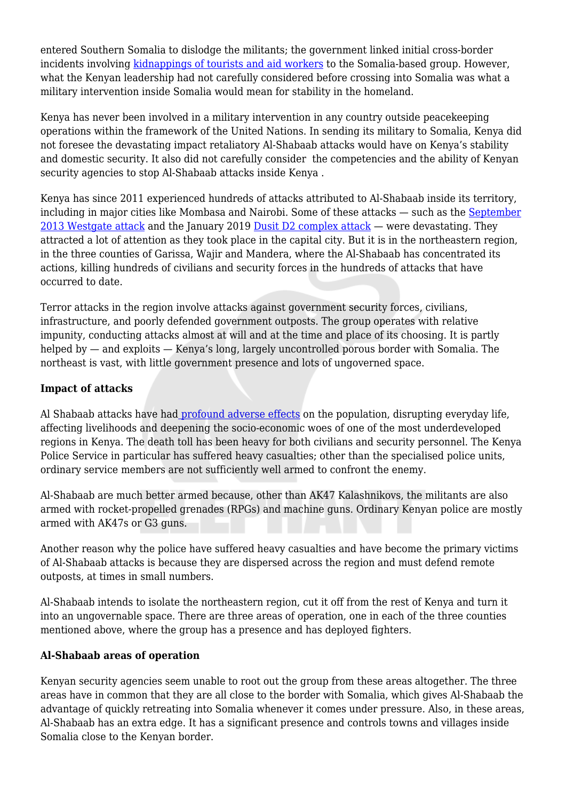entered Southern Somalia to dislodge the militants; the government linked initial cross-border incidents involving [kidnappings of tourists and aid workers](https://www.bbc.com/news/world-africa-15337464) to the Somalia-based group. However, what the Kenyan leadership had not carefully considered before crossing into Somalia was what a military intervention inside Somalia would mean for stability in the homeland.

Kenya has never been involved in a military intervention in any country outside peacekeeping operations within the framework of the United Nations. In sending its military to Somalia, Kenya did not foresee the devastating impact retaliatory Al-Shabaab attacks would have on Kenya's stability and domestic security. It also did not carefully consider the competencies and the ability of Kenyan security agencies to stop Al-Shabaab attacks inside Kenya .

Kenya has since 2011 experienced hundreds of attacks attributed to Al-Shabaab inside its territory, including in major cities like Mombasa and Nairobi. Some of these attacks — such as the [September](https://www.bbc.com/news/av/world-africa-29247163) [2013 Westgate attack](https://www.bbc.com/news/av/world-africa-29247163) and the January 2019 [Dusit D2 complex attack](https://edition.cnn.com/2019/01/16/africa/kenya-hotel-complex-terror-attack/index.html) — were devastating. They attracted a lot of attention as they took place in the capital city. But it is in the northeastern region, in the three counties of Garissa, Wajir and Mandera, where the Al-Shabaab has concentrated its actions, killing hundreds of civilians and security forces in the hundreds of attacks that have occurred to date.

Terror attacks in the region involve attacks against government security forces, civilians, infrastructure, and poorly defended government outposts. The group operates with relative impunity, conducting attacks almost at will and at the time and place of its choosing. It is partly helped by — and exploits — Kenya's long, largely uncontrolled porous border with Somalia. The northeast is vast, with little government presence and lots of ungoverned space.

## **Impact of attacks**

Al Shabaab attacks have had [profound adverse effects](https://www.crisisgroup.org/africa/horn-africa/kenya/hidden-cost-al-shabaabs-campaign-north-eastern-kenya) on the population, disrupting everyday life, affecting livelihoods and deepening the socio-economic woes of one of the most underdeveloped regions in Kenya. The death toll has been heavy for both civilians and security personnel. The Kenya Police Service in particular has suffered heavy casualties; other than the specialised police units, ordinary service members are not sufficiently well armed to confront the enemy.

Al-Shabaab are much better armed because, other than AK47 Kalashnikovs, the militants are also armed with rocket-propelled grenades (RPGs) and machine guns. Ordinary Kenyan police are mostly armed with AK47s or G3 guns.

Another reason why the police have suffered heavy casualties and have become the primary victims of Al-Shabaab attacks is because they are dispersed across the region and must defend remote outposts, at times in small numbers.

Al-Shabaab intends to isolate the northeastern region, cut it off from the rest of Kenya and turn it into an ungovernable space. There are three areas of operation, one in each of the three counties mentioned above, where the group has a presence and has deployed fighters.

## **Al-Shabaab areas of operation**

Kenyan security agencies seem unable to root out the group from these areas altogether. The three areas have in common that they are all close to the border with Somalia, which gives Al-Shabaab the advantage of quickly retreating into Somalia whenever it comes under pressure. Also, in these areas, Al-Shabaab has an extra edge. It has a significant presence and controls towns and villages inside Somalia close to the Kenyan border.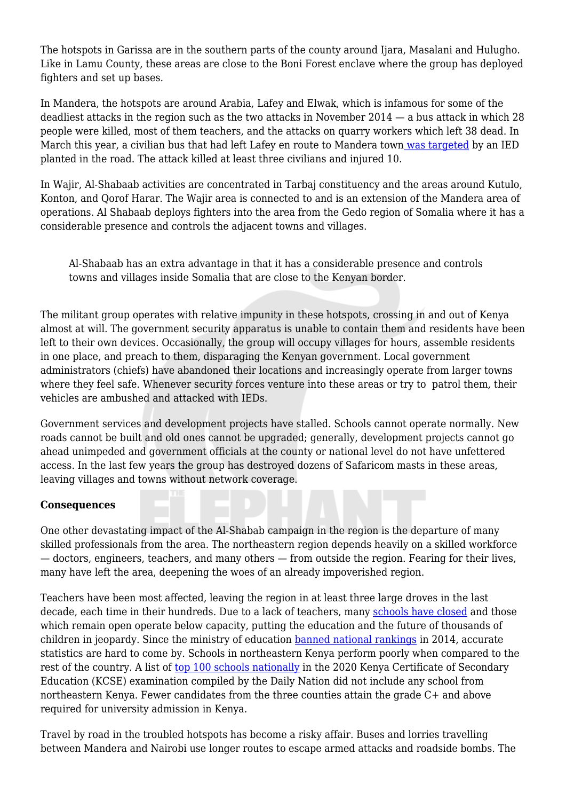The hotspots in Garissa are in the southern parts of the county around Ijara, Masalani and Hulugho. Like in Lamu County, these areas are close to the Boni Forest enclave where the group has deployed fighters and set up bases.

In Mandera, the hotspots are around Arabia, Lafey and Elwak, which is infamous for some of the deadliest attacks in the region such as the two attacks in November 2014 — a bus attack in which 28 people were killed, most of them teachers, and the attacks on quarry workers which left 38 dead. In March this year, a civilian bus that had left Lafey en route to Mandera town [was targeted](https://www.reuters.com/article/uk-kenya-security-idUSKBN2BG212) by an IED planted in the road. The attack killed at least three civilians and injured 10.

In Wajir, Al-Shabaab activities are concentrated in Tarbaj constituency and the areas around Kutulo, Konton, and Qorof Harar. The Wajir area is connected to and is an extension of the Mandera area of operations. Al Shabaab deploys fighters into the area from the Gedo region of Somalia where it has a considerable presence and controls the adjacent towns and villages.

Al-Shabaab has an extra advantage in that it has a considerable presence and controls towns and villages inside Somalia that are close to the Kenyan border.

The militant group operates with relative impunity in these hotspots, crossing in and out of Kenya almost at will. The government security apparatus is unable to contain them and residents have been left to their own devices. Occasionally, the group will occupy villages for hours, assemble residents in one place, and preach to them, disparaging the Kenyan government. Local government administrators (chiefs) have abandoned their locations and increasingly operate from larger towns where they feel safe. Whenever security forces venture into these areas or try to patrol them, their vehicles are ambushed and attacked with IEDs.

Government services and development projects have stalled. Schools cannot operate normally. New roads cannot be built and old ones cannot be upgraded; generally, development projects cannot go ahead unimpeded and government officials at the county or national level do not have unfettered access. In the last few years the group has destroyed dozens of Safaricom masts in these areas, leaving villages and towns without network coverage.

#### **Consequences**

One other devastating impact of the Al-Shabab campaign in the region is the departure of many skilled professionals from the area. The northeastern region depends heavily on a skilled workforce — doctors, engineers, teachers, and many others — from outside the region. Fearing for their lives, many have left the area, deepening the woes of an already impoverished region.

Teachers have been most affected, leaving the region in at least three large droves in the last decade, each time in their hundreds. Due to a lack of teachers, many [schools have closed](https://www.theguardian.com/global-development/2020/mar/10/schools-close-in-north-east-kenya-after-al-shabaab-targets-teachers) and those which remain open operate below capacity, putting the education and the future of thousands of children in jeopardy. Since the ministry of education [banned national rankings](https://nairobinews.nation.co.ke/news/government-bans-ranking-of-schools-by-exams) in 2014, accurate statistics are hard to come by. Schools in northeastern Kenya perform poorly when compared to the rest of the country. A list of [top 100 schools nationally](https://nation.africa/kenya/news/education/2020-kcse-list-of-top-100-schools-3397314) in the 2020 Kenya Certificate of Secondary Education (KCSE) examination compiled by the Daily Nation did not include any school from northeastern Kenya. Fewer candidates from the three counties attain the grade C+ and above required for university admission in Kenya.

Travel by road in the troubled hotspots has become a risky affair. Buses and lorries travelling between Mandera and Nairobi use longer routes to escape armed attacks and roadside bombs. The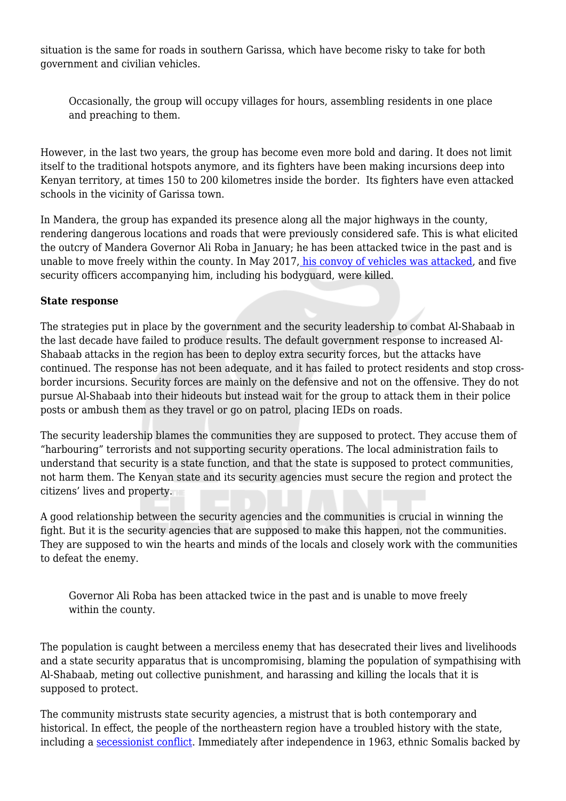situation is the same for roads in southern Garissa, which have become risky to take for both government and civilian vehicles.

Occasionally, the group will occupy villages for hours, assembling residents in one place and preaching to them.

However, in the last two years, the group has become even more bold and daring. It does not limit itself to the traditional hotspots anymore, and its fighters have been making incursions deep into Kenyan territory, at times 150 to 200 kilometres inside the border. Its fighters have even attacked schools in the vicinity of Garissa town.

In Mandera, the group has expanded its presence along all the major highways in the county, rendering dangerous locations and roads that were previously considered safe. This is what elicited the outcry of Mandera Governor Ali Roba in January; he has been attacked twice in the past and is unable to move freely within the county. In May 2017[, his convoy of vehicles was attacked](https://www.reuters.com/article/kenya-attacks-idINKBN18K0OH), and five security officers accompanying him, including his bodyguard, were killed.

#### **State response**

The strategies put in place by the government and the security leadership to combat Al-Shabaab in the last decade have failed to produce results. The default government response to increased Al-Shabaab attacks in the region has been to deploy extra security forces, but the attacks have continued. The response has not been adequate, and it has failed to protect residents and stop crossborder incursions. Security forces are mainly on the defensive and not on the offensive. They do not pursue Al-Shabaab into their hideouts but instead wait for the group to attack them in their police posts or ambush them as they travel or go on patrol, placing IEDs on roads.

The security leadership blames the communities they are supposed to protect. They accuse them of "harbouring" terrorists and not supporting security operations. The local administration fails to understand that security is a state function, and that the state is supposed to protect communities, not harm them. The Kenyan state and its security agencies must secure the region and protect the citizens' lives and property.

A good relationship between the security agencies and the communities is crucial in winning the fight. But it is the security agencies that are supposed to make this happen, not the communities. They are supposed to win the hearts and minds of the locals and closely work with the communities to defeat the enemy.

Governor Ali Roba has been attacked twice in the past and is unable to move freely within the county.

The population is caught between a merciless enemy that has desecrated their lives and livelihoods and a state security apparatus that is uncompromising, blaming the population of sympathising with Al-Shabaab, meting out collective punishment, and harassing and killing the locals that it is supposed to protect.

The community mistrusts state security agencies, a mistrust that is both contemporary and historical. In effect, the people of the northeastern region have a troubled history with the state, including a [secessionist conflict](https://books.google.co.ke/books?hl=en&lr=&id=VAwSBQAAQBAJ&oi=fnd&pg=PP3&dq=shifta+war+kenya&ots=3HceIsj2Jo&sig=5ZBbdsPbCNbl_nelt6nMjoQk7qo&redir_esc=y#v=onepage&q=shifta%20war%20kenya&f=false). Immediately after independence in 1963, ethnic Somalis backed by